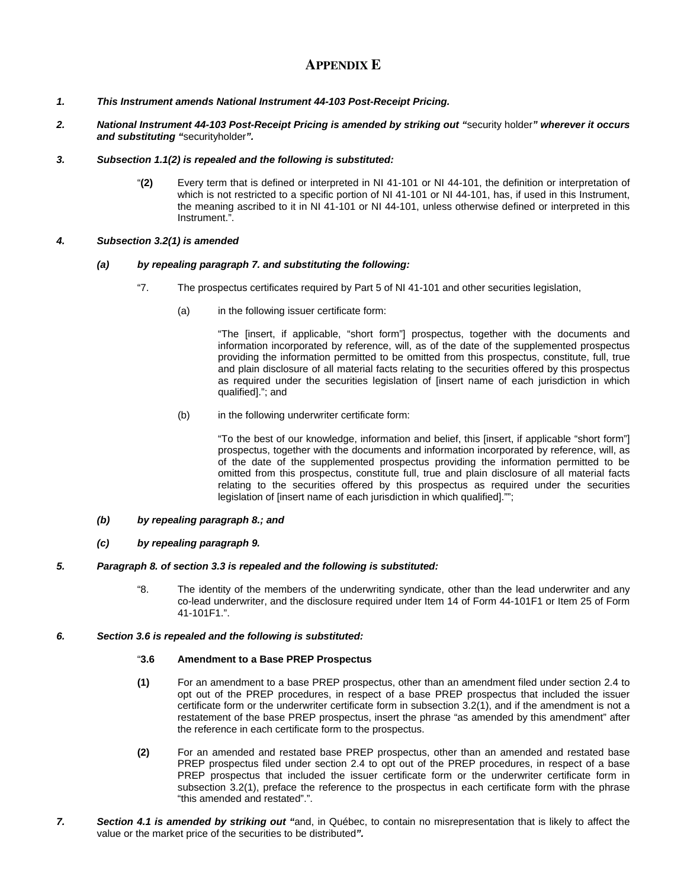# **APPENDIX E**

- *1. This Instrument amends National Instrument 44-103 Post-Receipt Pricing.*
- *2. National Instrument 44-103 Post-Receipt Pricing is amended by striking out "*security holder*" wherever it occurs and substituting "*securityholder*".*

## *3. Subsection 1.1(2) is repealed and the following is substituted:*

"**(2)** Every term that is defined or interpreted in NI 41-101 or NI 44-101, the definition or interpretation of which is not restricted to a specific portion of NI 41-101 or NI 44-101, has, if used in this Instrument, the meaning ascribed to it in NI 41-101 or NI 44-101, unless otherwise defined or interpreted in this Instrument.".

## *4. Subsection 3.2(1) is amended*

#### *(a) by repealing paragraph 7. and substituting the following:*

- "7. The prospectus certificates required by Part 5 of NI 41-101 and other securities legislation,
	- (a) in the following issuer certificate form:

"The [insert, if applicable, "short form"] prospectus, together with the documents and information incorporated by reference, will, as of the date of the supplemented prospectus providing the information permitted to be omitted from this prospectus, constitute, full, true and plain disclosure of all material facts relating to the securities offered by this prospectus as required under the securities legislation of [insert name of each jurisdiction in which qualified]."; and

(b) in the following underwriter certificate form:

"To the best of our knowledge, information and belief, this [insert, if applicable "short form"] prospectus, together with the documents and information incorporated by reference, will, as of the date of the supplemented prospectus providing the information permitted to be omitted from this prospectus, constitute full, true and plain disclosure of all material facts relating to the securities offered by this prospectus as required under the securities legislation of [insert name of each jurisdiction in which qualified]."";

- *(b) by repealing paragraph 8.; and*
- *(c) by repealing paragraph 9.*
- *5. Paragraph 8. of section 3.3 is repealed and the following is substituted:* 
	- "8. The identity of the members of the underwriting syndicate, other than the lead underwriter and any co-lead underwriter, and the disclosure required under Item 14 of Form 44-101F1 or Item 25 of Form 41-101F1.".
- *6. Section 3.6 is repealed and the following is substituted:*

#### "**3.6 Amendment to a Base PREP Prospectus**

- **(1)** For an amendment to a base PREP prospectus, other than an amendment filed under section 2.4 to opt out of the PREP procedures, in respect of a base PREP prospectus that included the issuer certificate form or the underwriter certificate form in subsection 3.2(1), and if the amendment is not a restatement of the base PREP prospectus, insert the phrase "as amended by this amendment" after the reference in each certificate form to the prospectus.
- **(2)** For an amended and restated base PREP prospectus, other than an amended and restated base PREP prospectus filed under section 2.4 to opt out of the PREP procedures, in respect of a base PREP prospectus that included the issuer certificate form or the underwriter certificate form in subsection 3.2(1), preface the reference to the prospectus in each certificate form with the phrase "this amended and restated".".
- *7. Section 4.1 is amended by striking out "*and, in Québec, to contain no misrepresentation that is likely to affect the value or the market price of the securities to be distributed*".*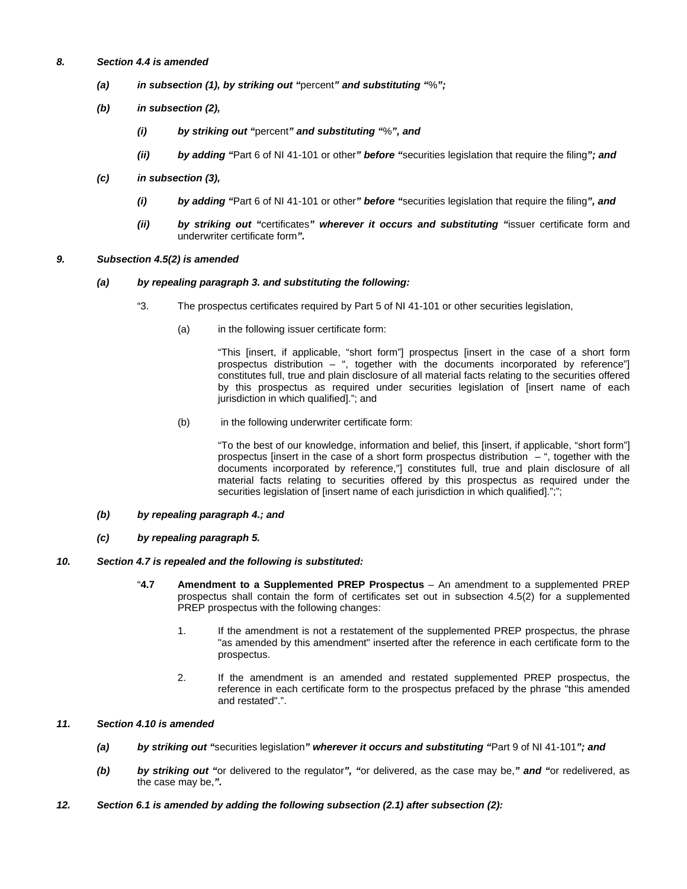- *8. Section 4.4 is amended* 
	- *(a) in subsection (1), by striking out "*percent*" and substituting "*%*";*
	- *(b) in subsection (2),* 
		- *(i) by striking out "*percent*" and substituting "*%*", and*
		- *(ii) by adding "*Part 6 of NI 41-101 or other*" before "*securities legislation that require the filing*"; and*
	- *(c) in subsection (3),* 
		- *(i) by adding "*Part 6 of NI 41-101 or other*" before "*securities legislation that require the filing*", and*
		- *(ii) by striking out "*certificates*" wherever it occurs and substituting "*issuer certificate form and underwriter certificate form*".*
- *9. Subsection 4.5(2) is amended*

#### *(a) by repealing paragraph 3. and substituting the following:*

- "3. The prospectus certificates required by Part 5 of NI 41-101 or other securities legislation,
	- (a) in the following issuer certificate form:

"This [insert, if applicable, "short form"] prospectus [insert in the case of a short form prospectus distribution – ", together with the documents incorporated by reference"] constitutes full, true and plain disclosure of all material facts relating to the securities offered by this prospectus as required under securities legislation of [insert name of each jurisdiction in which qualified]."; and

(b) in the following underwriter certificate form:

"To the best of our knowledge, information and belief, this [insert, if applicable, "short form"] prospectus [insert in the case of a short form prospectus distribution – ", together with the documents incorporated by reference,"] constitutes full, true and plain disclosure of all material facts relating to securities offered by this prospectus as required under the securities legislation of [insert name of each jurisdiction in which qualified].";";

- *(b) by repealing paragraph 4.; and*
- *(c) by repealing paragraph 5.*

## *10. Section 4.7 is repealed and the following is substituted:*

- "**4.7 Amendment to a Supplemented PREP Prospectus**  An amendment to a supplemented PREP prospectus shall contain the form of certificates set out in subsection 4.5(2) for a supplemented PREP prospectus with the following changes:
	- 1. If the amendment is not a restatement of the supplemented PREP prospectus, the phrase "as amended by this amendment" inserted after the reference in each certificate form to the prospectus.
	- 2. If the amendment is an amended and restated supplemented PREP prospectus, the reference in each certificate form to the prospectus prefaced by the phrase "this amended and restated".".

## *11. Section 4.10 is amended*

- *(a) by striking out "*securities legislation*" wherever it occurs and substituting "*Part 9 of NI 41-101*"; and*
- *(b) by striking out "*or delivered to the regulator*", "*or delivered, as the case may be,*" and "*or redelivered, as the case may be,*".*
- *12. Section 6.1 is amended by adding the following subsection (2.1) after subsection (2):*